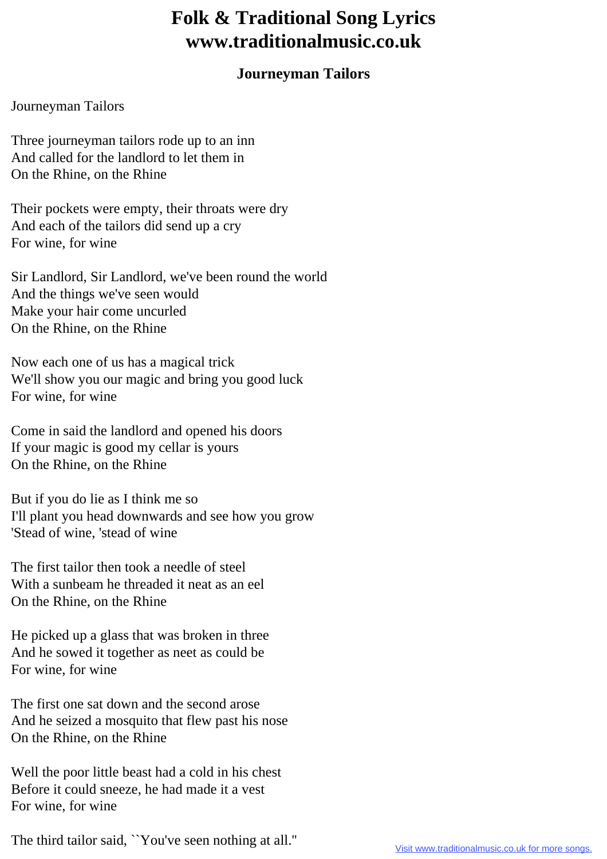## **Folk & Traditional Song Lyrics www.traditionalmusic.co.uk**

## **Journeyman Tailors**

## Journeyman Tailors

Three journeyman tailors rode up to an inn And called for the landlord to let them in On the Rhine, on the Rhine

Their pockets were empty, their throats were dry And each of the tailors did send up a cry For wine, for wine

Sir Landlord, Sir Landlord, we've been round the world And the things we've seen would Make your hair come uncurled On the Rhine, on the Rhine

Now each one of us has a magical trick We'll show you our magic and bring you good luck For wine, for wine

Come in said the landlord and opened his doors If your magic is good my cellar is yours On the Rhine, on the Rhine

But if you do lie as I think me so I'll plant you head downwards and see how you grow 'Stead of wine, 'stead of wine

The first tailor then took a needle of steel With a sunbeam he threaded it neat as an eel On the Rhine, on the Rhine

He picked up a glass that was broken in three And he sowed it together as neet as could be For wine, for wine

The first one sat down and the second arose And he seized a mosquito that flew past his nose On the Rhine, on the Rhine

Well the poor little beast had a cold in his chest Before it could sneeze, he had made it a vest For wine, for wine

The third tailor said, ``You've seen nothing at all.''